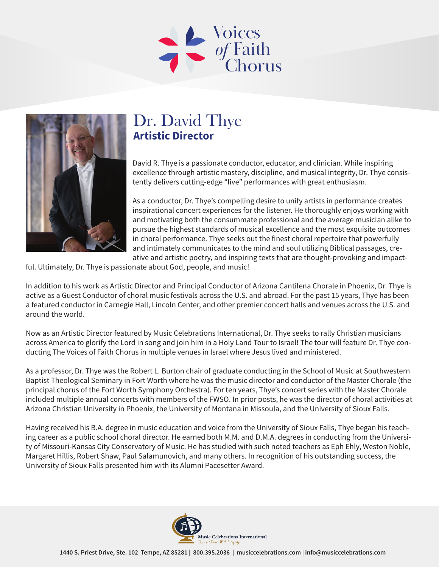



## Dr. David Thye **Artistic Director**

David R. Thye is a passionate conductor, educator, and clinician. While inspiring excellence through artistic mastery, discipline, and musical integrity, Dr. Thye consistently delivers cutting-edge "live" performances with great enthusiasm.

As a conductor, Dr. Thye's compelling desire to unify artists in performance creates inspirational concert experiences for the listener. He thoroughly enjoys working with and motivating both the consummate professional and the average musician alike to pursue the highest standards of musical excellence and the most exquisite outcomes in choral performance. Thye seeks out the finest choral repertoire that powerfully and intimately communicates to the mind and soul utilizing Biblical passages, creative and artistic poetry, and inspiring texts that are thought-provoking and impact-

ful. Ultimately, Dr. Thye is passionate about God, people, and music!

In addition to his work as Artistic Director and Principal Conductor of Arizona Cantilena Chorale in Phoenix, Dr. Thye is active as a Guest Conductor of choral music festivals across the U.S. and abroad. For the past 15 years, Thye has been a featured conductor in Carnegie Hall, Lincoln Center, and other premier concert halls and venues across the U.S. and around the world.

Now as an Artistic Director featured by Music Celebrations International, Dr. Thye seeks to rally Christian musicians across America to glorify the Lord in song and join him in a Holy Land Tour to Israel! The tour will feature Dr. Thye conducting The Voices of Faith Chorus in multiple venues in Israel where Jesus lived and ministered.

As a professor, Dr. Thye was the Robert L. Burton chair of graduate conducting in the School of Music at Southwestern Baptist Theological Seminary in Fort Worth where he was the music director and conductor of the Master Chorale (the principal chorus of the Fort Worth Symphony Orchestra). For ten years, Thye's concert series with the Master Chorale included multiple annual concerts with members of the FWSO. In prior posts, he was the director of choral activities at Arizona Christian University in Phoenix, the University of Montana in Missoula, and the University of Sioux Falls.

Having received his B.A. degree in music education and voice from the University of Sioux Falls, Thye began his teaching career as a public school choral director. He earned both M.M. and D.M.A. degrees in conducting from the University of Missouri-Kansas City Conservatory of Music. He has studied with such noted teachers as Eph Ehly, Weston Noble, Margaret Hillis, Robert Shaw, Paul Salamunovich, and many others. In recognition of his outstanding success, the University of Sioux Falls presented him with its Alumni Pacesetter Award.